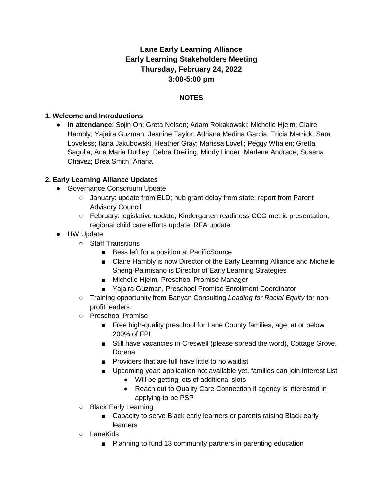# **Lane Early Learning Alliance Early Learning Stakeholders Meeting Thursday, February 24, 2022 3:00-5:00 pm**

### **NOTES**

#### **1. Welcome and Introductions**

● **In attendance**: Sojin Oh; Greta Nelson; Adam Rokakowski; Michelle Hjelm; Claire Hambly; Yajaira Guzman; Jeanine Taylor; Adriana Medina Garcia; Tricia Merrick; Sara Loveless; Ilana Jakubowski; Heather Gray; Marissa Lovell; Peggy Whalen; Gretta Sagolla; Ana Maria Dudley; Debra Dreiling; Mindy Linder; Marlene Andrade; Susana Chavez; Drea Smith; Ariana

#### **2. Early Learning Alliance Updates**

- Governance Consortium Update
	- January: update from ELD; hub grant delay from state; report from Parent Advisory Council
	- February: legislative update; Kindergarten readiness CCO metric presentation; regional child care efforts update; RFA update
- UW Update
	- Staff Transitions
		- Bess left for a position at PacificSource
		- Claire Hambly is now Director of the Early Learning Alliance and Michelle Sheng-Palmisano is Director of Early Learning Strategies
		- Michelle Hjelm, Preschool Promise Manager
		- Yajaira Guzman, Preschool Promise Enrollment Coordinator
	- Training opportunity from Banyan Consulting *Leading for Racial Equity* for nonprofit leaders
	- Preschool Promise
		- Free high-quality preschool for Lane County families, age, at or below 200% of FPL
		- Still have vacancies in Creswell (please spread the word), Cottage Grove, Dorena
		- Providers that are full have little to no waitlist
		- Upcoming year: application not available yet, families can join Interest List
			- Will be getting lots of additional slots
			- Reach out to Quality Care Connection if agency is interested in applying to be PSP
	- Black Early Learning
		- Capacity to serve Black early learners or parents raising Black early learners
	- LaneKids
		- Planning to fund 13 community partners in parenting education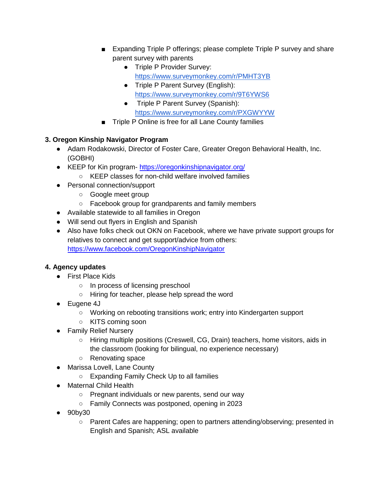- Expanding Triple P offerings; please complete Triple P survey and share parent survey with parents
	- Triple P Provider Survey: <https://www.surveymonkey.com/r/PMHT3YB>
	- Triple P Parent Survey (English)[:](https://www.surveymonkey.com/r/9T6YWS6) <https://www.surveymonkey.com/r/9T6YWS6>
	- Triple P Parent Survey (Spanish)[:](https://www.surveymonkey.com/r/PXGWYYW) <https://www.surveymonkey.com/r/PXGWYYW>
- Triple P Online is free for all Lane County families

## **3. Oregon Kinship Navigator Program**

- Adam Rodakowski, Director of Foster Care, Greater Oregon Behavioral Health, Inc. (GOBHI)
- KEEP for Kin program- <https://oregonkinshipnavigator.org/>
	- KEEP classes for non-child welfare involved families
- Personal connection/support
	- Google meet group
	- Facebook group for grandparents and family members
- Available statewide to all families in Oregon
- Will send out flyers in English and Spanish
- Also have folks check out OKN on Facebook, where we have private support groups for relatives to connect and get support/advice from others: <https://www.facebook.com/OregonKinshipNavigator>

## **4. Agency updates**

- First Place Kids
	- In process of licensing preschool
	- Hiring for teacher, please help spread the word
- Eugene 4J
	- Working on rebooting transitions work; entry into Kindergarten support
	- KITS coming soon
- Family Relief Nursery
	- Hiring multiple positions (Creswell, CG, Drain) teachers, home visitors, aids in the classroom (looking for bilingual, no experience necessary)
	- Renovating space
- Marissa Lovell, Lane County
	- Expanding Family Check Up to all families
- Maternal Child Health
	- Pregnant individuals or new parents, send our way
	- Family Connects was postponed, opening in 2023
- 90by30
	- Parent Cafes are happening; open to partners attending/observing; presented in English and Spanish; ASL available